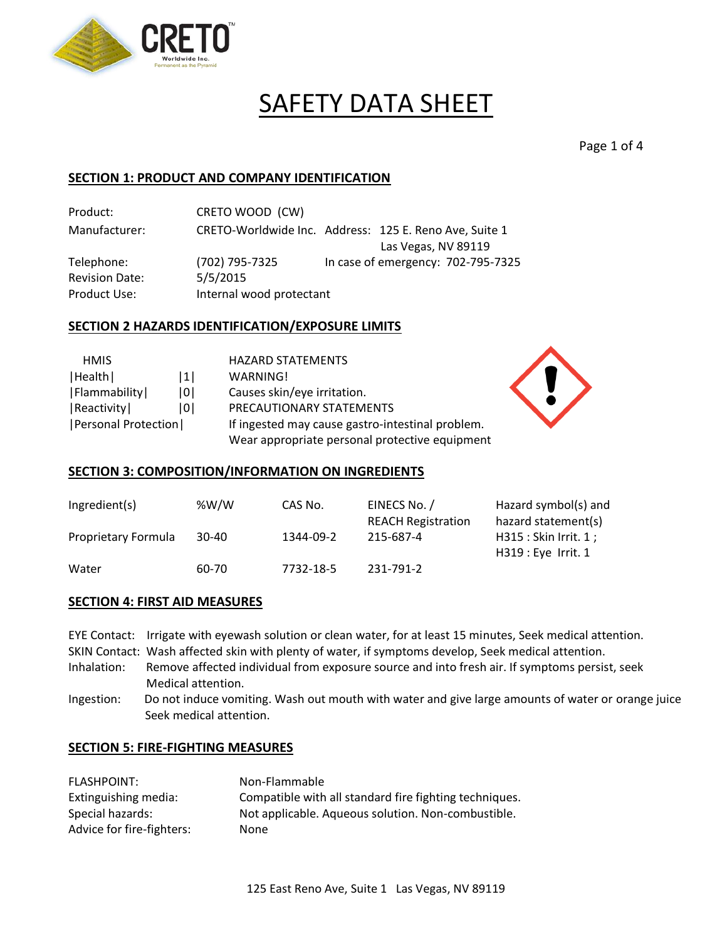

# SAFETY DATA SHEET

Page 1 of 4

## **SECTION 1: PRODUCT AND COMPANY IDENTIFICATION**

Product: CRETO WOOD (CW) Manufacturer: CRETO-Worldwide Inc. Address: 125 E. Reno Ave, Suite 1 Las Vegas, NV 89119 Telephone: (702) 795-7325 In case of emergency: 702-795-7325 Revision Date: 5/5/2015 Product Use: Internal wood protectant

## **SECTION 2 HAZARDS IDENTIFICATION/EXPOSURE LIMITS**

| <b>HMIS</b>                  |     | <b>HAZARD STATEMENTS</b>                         |
|------------------------------|-----|--------------------------------------------------|
| Health                       | 1   | WARNING!                                         |
| Flammability                 | 101 | Causes skin/eye irritation.                      |
| Reactivity                   | 101 | PRECAUTIONARY STATEMENTS                         |
| <b> Personal Protection </b> |     | If ingested may cause gastro-intestinal problem. |
|                              |     | Wear appropriate personal protective equipment   |

#### **SECTION 3: COMPOSITION/INFORMATION ON INGREDIENTS**

| Ingredient(s)       | %W/W  | CAS No.   | EINECS No. /              | Hazard symbol(s) and   |
|---------------------|-------|-----------|---------------------------|------------------------|
|                     |       |           | <b>REACH Registration</b> | hazard statement(s)    |
| Proprietary Formula | 30-40 | 1344-09-2 | 215-687-4                 | H315 : Skin Irrit. 1 ; |
|                     |       |           |                           | $H319:$ Eye Irrit. 1   |
| Water               | 60-70 | 7732-18-5 | 231-791-2                 |                        |

#### **SECTION 4: FIRST AID MEASURES**

|             | EYE Contact: Irrigate with eyewash solution or clean water, for at least 15 minutes, Seek medical attention. |
|-------------|--------------------------------------------------------------------------------------------------------------|
|             | SKIN Contact: Wash affected skin with plenty of water, if symptoms develop, Seek medical attention.          |
| Inhalation: | Remove affected individual from exposure source and into fresh air. If symptoms persist, seek                |
|             | Medical attention.                                                                                           |

Ingestion: Do not induce vomiting. Wash out mouth with water and give large amounts of water or orange juice Seek medical attention.

#### **SECTION 5: FIRE-FIGHTING MEASURES**

| <b>FLASHPOINT:</b>        | Non-Flammable                                          |
|---------------------------|--------------------------------------------------------|
| Extinguishing media:      | Compatible with all standard fire fighting techniques. |
| Special hazards:          | Not applicable. Aqueous solution. Non-combustible.     |
| Advice for fire-fighters: | None                                                   |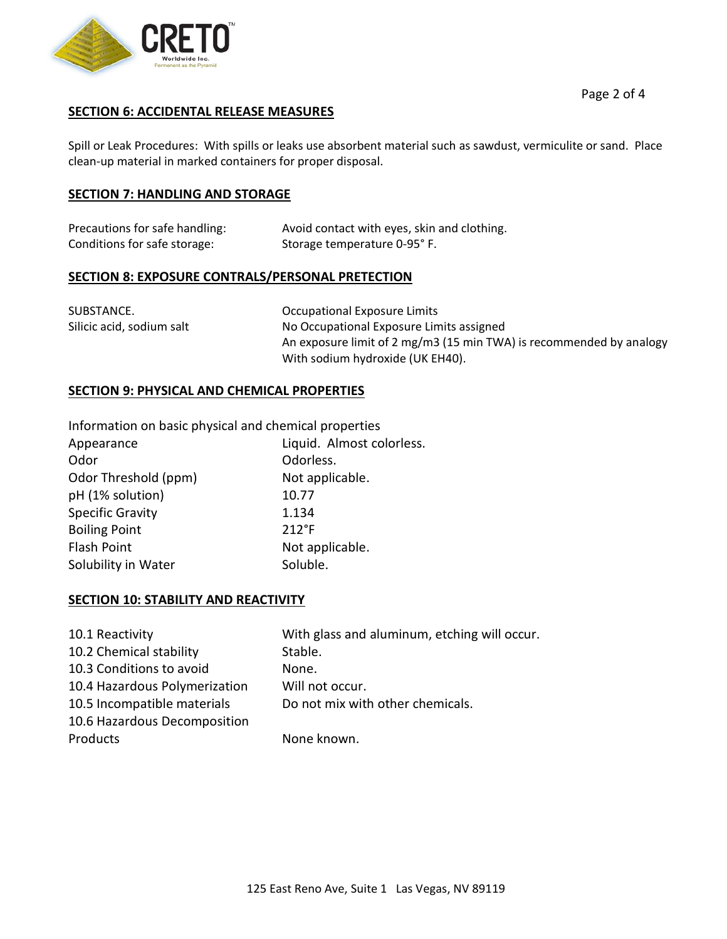

#### **SECTION 6: ACCIDENTAL RELEASE MEASURES**

Spill or Leak Procedures: With spills or leaks use absorbent material such as sawdust, vermiculite or sand. Place clean-up material in marked containers for proper disposal.

#### **SECTION 7: HANDLING AND STORAGE**

| Precautions for safe handling: | Avoid contact with eyes, skin and clothing. |
|--------------------------------|---------------------------------------------|
| Conditions for safe storage:   | Storage temperature 0-95°F.                 |

#### **SECTION 8: EXPOSURE CONTRALS/PERSONAL PRETECTION**

| SUBSTANCE.                | Occupational Exposure Limits                                        |
|---------------------------|---------------------------------------------------------------------|
| Silicic acid, sodium salt | No Occupational Exposure Limits assigned                            |
|                           | An exposure limit of 2 mg/m3 (15 min TWA) is recommended by analogy |
|                           | With sodium hydroxide (UK EH40).                                    |

#### **SECTION 9: PHYSICAL AND CHEMICAL PROPERTIES**

| Information on basic physical and chemical properties |  |
|-------------------------------------------------------|--|
|-------------------------------------------------------|--|

| Appearance              | Liquid. Almost colorless. |
|-------------------------|---------------------------|
| Odor                    | Odorless.                 |
| Odor Threshold (ppm)    | Not applicable.           |
| pH (1% solution)        | 10.77                     |
| <b>Specific Gravity</b> | 1.134                     |
| <b>Boiling Point</b>    | $212^{\circ}F$            |
| <b>Flash Point</b>      | Not applicable.           |
| Solubility in Water     | Soluble.                  |

## **SECTION 10: STABILITY AND REACTIVITY**

| 10.1 Reactivity               | With glass and aluminum, etching will occur. |
|-------------------------------|----------------------------------------------|
| 10.2 Chemical stability       | Stable.                                      |
| 10.3 Conditions to avoid      | None.                                        |
| 10.4 Hazardous Polymerization | Will not occur.                              |
| 10.5 Incompatible materials   | Do not mix with other chemicals.             |
| 10.6 Hazardous Decomposition  |                                              |
| Products                      | None known.                                  |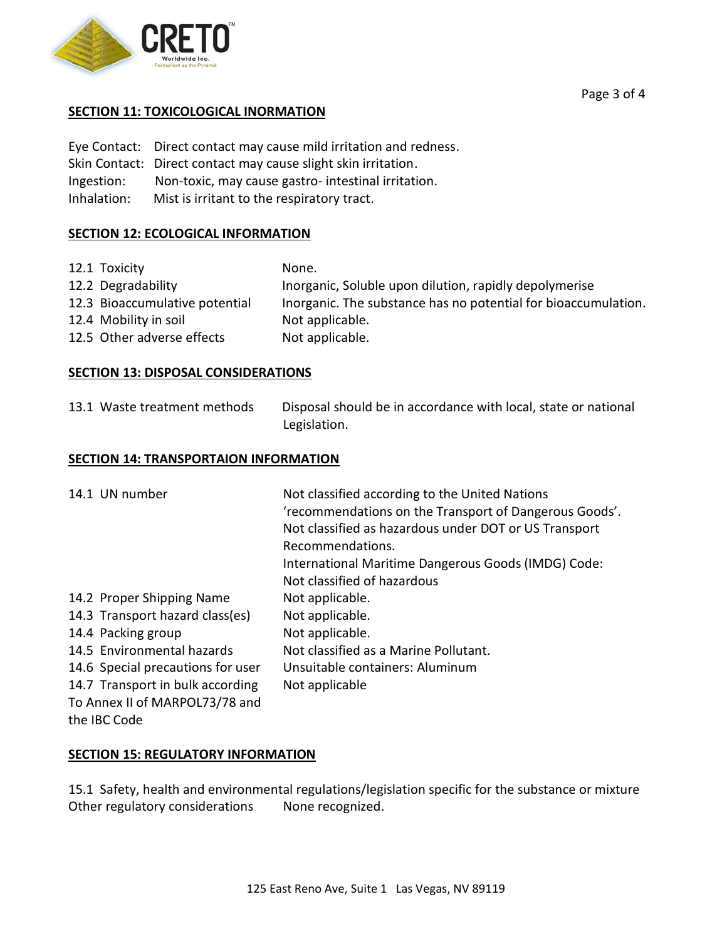

## **SECTION 11: TOXICOLOGICAL INORMATION**

Eye Contact: Direct contact may cause mild irritation and redness. Skin Contact: Direct contact may cause slight skin irritation. Ingestion: Non-toxic, may cause gastro- intestinal irritation. Inhalation: Mist is irritant to the respiratory tract.

## **SECTION 12: ECOLOGICAL INFORMATION**

| 12.1 Toxicity                  | None.                                                          |
|--------------------------------|----------------------------------------------------------------|
| 12.2 Degradability             | Inorganic, Soluble upon dilution, rapidly depolymerise         |
| 12.3 Bioaccumulative potential | Inorganic. The substance has no potential for bioaccumulation. |
| 12.4 Mobility in soil          | Not applicable.                                                |
| 12.5 Other adverse effects     | Not applicable.                                                |

## **SECTION 13: DISPOSAL CONSIDERATIONS**

13.1 Waste treatment methods Disposal should be in accordance with local, state or national Legislation.

## **SECTION 14: TRANSPORTAION INFORMATION**

| 14.1 UN number                    | Not classified according to the United Nations<br>'recommendations on the Transport of Dangerous Goods'.<br>Not classified as hazardous under DOT or US Transport |
|-----------------------------------|-------------------------------------------------------------------------------------------------------------------------------------------------------------------|
|                                   | Recommendations.                                                                                                                                                  |
|                                   | International Maritime Dangerous Goods (IMDG) Code:                                                                                                               |
|                                   | Not classified of hazardous                                                                                                                                       |
| 14.2 Proper Shipping Name         | Not applicable.                                                                                                                                                   |
| 14.3 Transport hazard class(es)   | Not applicable.                                                                                                                                                   |
| 14.4 Packing group                | Not applicable.                                                                                                                                                   |
| 14.5 Environmental hazards        | Not classified as a Marine Pollutant.                                                                                                                             |
| 14.6 Special precautions for user | Unsuitable containers: Aluminum                                                                                                                                   |
| 14.7 Transport in bulk according  | Not applicable                                                                                                                                                    |
| To Annex II of MARPOL73/78 and    |                                                                                                                                                                   |
| the IBC Code                      |                                                                                                                                                                   |

## **SECTION 15: REGULATORY INFORMATION**

15.1 Safety, health and environmental regulations/legislation specific for the substance or mixture Other regulatory considerations None recognized.